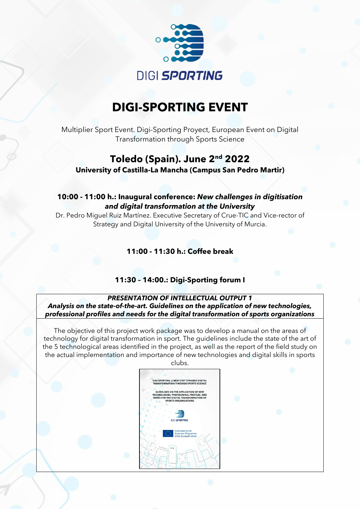

# **DIGI-SPORTING EVENT**

Multiplier Sport Event. Digi-Sporting Proyect, European Event on Digital Transformation through Sports Science

## **Toledo (Spain). June 2nd 2022 University of Castilla-La Mancha (Campus San Pedro Martir)**

## **10:00 - 11:00 h.: Inaugural conference:** *New challenges in digitisation and digital transformation at the University*

Dr. Pedro Miguel Ruiz Martínez. Executive Secretary of Crue-TIC and Vice-rector of Strategy and Digital University of the University of Murcia.

**11:00 - 11:30 h.: Coffee break**

## **11:30 – 14:00.: Digi-Sporting forum I**

*PRESENTATION OF INTELLECTUAL OUTPUT 1 Analysis on the state-of-the-art. Guidelines on the application of new technologies, professional profiles and needs for the digital transformation of sports organizations*

The objective of this project work package was to develop a manual on the areas of technology for digital transformation in sport. The guidelines include the state of the art of the 5 technological areas identified in the project, as well as the report of the field study on the actual implementation and importance of new technologies and digital skills in sports

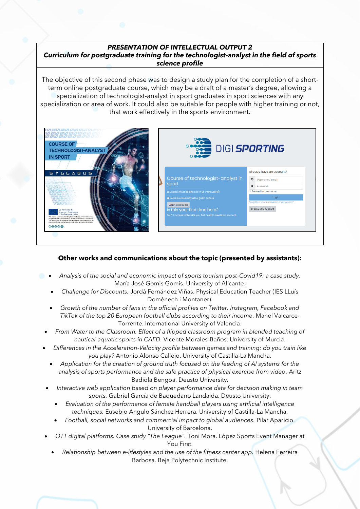#### *PRESENTATION OF INTELLECTUAL OUTPUT 2 Curriculum for postgraduate training for the technologist-analyst in the field of sports science profile*

The objective of this second phase was to design a study plan for the completion of a shortterm online postgraduate course, which may be a draft of a master's degree, allowing a specialization of technologist-analyst in sport graduates in sport sciences with any specialization or area of work. It could also be suitable for people with higher training or not, that work effectively in the sports environment.



## **Other works and communications about the topic (presented by assistants):**

- *Analysis of the social and economic impact of sports tourism post-Covid19: a case study*. María José Gomis Gomis. University of Alicante.
- *Challenge for Discounts.* Jordà Fernández Viñas. Physical Education Teacher (IES LLuís Domènech i Montaner).
- *Growth of the number of fans in the official profiles on Twitter, Instagram, Facebook and TikTok of the top 20 European football clubs according to their income.* Manel Valcarce-Torrente. International University of Valencia.
- *From Water to the Classroom. Effect of a flipped classroom program in blended teaching of nautical-aquatic sports in CAFD.* Vicente Morales-Baños. University of Murcia.
- *Differences in the Acceleration-Velocity profile between games and training: do you train like you play?* Antonio Alonso Callejo. University of Castilla-La Mancha.
	- *Application for the creation of ground truth focused on the feeding of AI systems for the analysis of sports performance and the safe practice of physical exercise from video.* Aritz Badiola Bengoa. Deusto University.
- *Interactive web application based on player performance data for decision making in team sports.* Gabriel García de Baquedano Landaida. Deusto University.
	- *Evaluation of the performance of female handball players using artificial intelligence techniques.* Eusebio Angulo Sánchez Herrera. University of Castilla-La Mancha.
	- *Football, social networks and commercial impact to global audiences.* Pilar Aparicio. University of Barcelona.
- *OTT digital platforms. Case study "The League".* Toni Mora. López Sports Event Manager at You First.
	- *Relationship between e-lifestyles and the use of the fitness center app.* Helena Ferreira Barbosa. Beja Polytechnic Institute.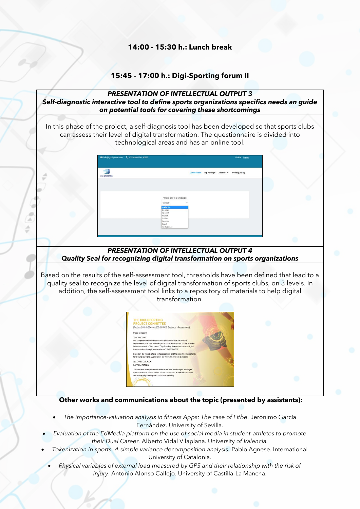### **14:00 - 15:30 h.: Lunch break**

## **15:45 - 17:00 h.: Digi-Sporting forum II**

#### *PRESENTATION OF INTELLECTUAL OUTPUT 3 Self-diagnostic interactive tool to define sports organizations specifics needs an guide on potential tools for covering these shortcomings*

In this phase of the project, a self-diagnosis tool has been developed so that sports clubs can assess their level of digital transformation. The questionnaire is divided into technological areas and has an online tool.

| info@igoidsportec.com \, 925268800 Ext. 96828 |                                                       |              |                      | Profile   Logout |
|-----------------------------------------------|-------------------------------------------------------|--------------|----------------------|------------------|
| £<br><b>DIGI SPORTING</b>                     |                                                       | Questionaire | My Attemps Account v | Privacy policy   |
|                                               |                                                       |              |                      |                  |
|                                               | Please select a language:<br>- select-<br>v           |              |                      |                  |
|                                               | - select -<br>English<br>Spanish<br>French<br>Italian |              |                      |                  |
|                                               | German<br>Greek<br>Portuguese                         |              |                      |                  |

á A é

### *PRESENTATION OF INTELLECTUAL OUTPUT 4 Quality Seal for recognizing digital transformation on sports organizations*

Based on the results of the self-assessment tool, thresholds have been defined that lead to a quality seal to recognize the level of digital transformation of sports clubs, on 3 levels. In addition, the self-assessment tool links to a repository of materials to help digital transformation.



#### **Other works and communications about the topic (presented by assistants):**

- *The importance-valuation analysis in fitness Apps: The case of Fitbe.* Jerónimo García Fernández. University of Sevilla.
- *Evaluation of the EdMedia platform on the use of social media in student-athletes to promote their Dual Career.* Alberto Vidal Vilaplana. University *of Valencia.*
- *Tokenization in sports. A simple variance decomposition analysis.* Pablo Agnese. International University of Catalonia.
- *Physical variables of external load measured by GPS and their relationship with the risk of injury*. Antonio Alonso Callejo. University of Castilla-La Mancha.